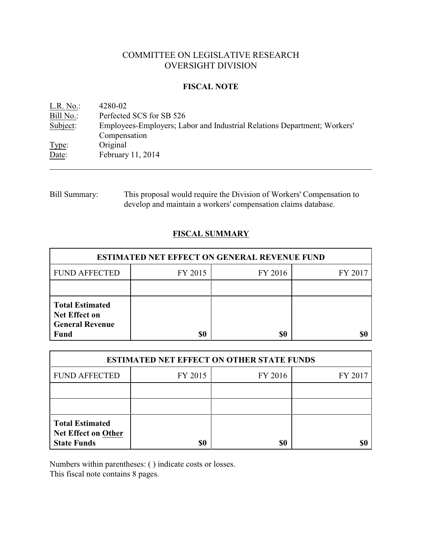# COMMITTEE ON LEGISLATIVE RESEARCH OVERSIGHT DIVISION

### **FISCAL NOTE**

<u>L.R. No.</u>: 4280-02<br>Bill No.: Perfected Perfected SCS for SB 526 Subject: Employees-Employers; Labor and Industrial Relations Department; Workers' Compensation Type: Original Date: February 11, 2014

Bill Summary: This proposal would require the Division of Workers' Compensation to develop and maintain a workers' compensation claims database.

## **FISCAL SUMMARY**

| <b>ESTIMATED NET EFFECT ON GENERAL REVENUE FUND</b>                                     |         |         |         |  |
|-----------------------------------------------------------------------------------------|---------|---------|---------|--|
| <b>FUND AFFECTED</b>                                                                    | FY 2015 | FY 2016 | FY 2017 |  |
|                                                                                         |         |         |         |  |
| <b>Total Estimated</b><br><b>Net Effect on</b><br><b>General Revenue</b><br><b>Fund</b> | \$0     | \$0     |         |  |

| <b>ESTIMATED NET EFFECT ON OTHER STATE FUNDS</b>                           |         |         |         |  |
|----------------------------------------------------------------------------|---------|---------|---------|--|
| <b>FUND AFFECTED</b>                                                       | FY 2015 | FY 2016 | FY 2017 |  |
|                                                                            |         |         |         |  |
|                                                                            |         |         |         |  |
| <b>Total Estimated</b><br><b>Net Effect on Other</b><br><b>State Funds</b> | \$0     | \$0     |         |  |

Numbers within parentheses: ( ) indicate costs or losses.

This fiscal note contains 8 pages.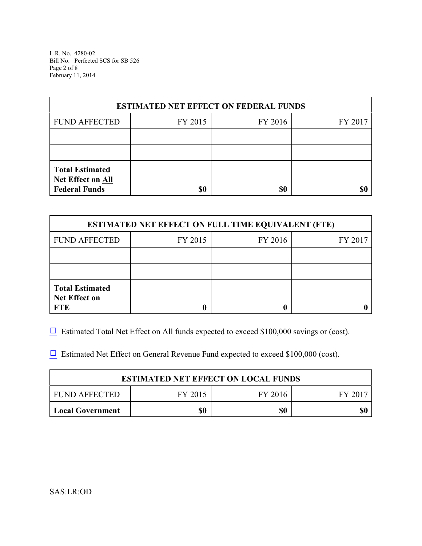L.R. No. 4280-02 Bill No. Perfected SCS for SB 526 Page 2 of 8 February 11, 2014

| <b>ESTIMATED NET EFFECT ON FEDERAL FUNDS</b>                        |         |         |         |  |
|---------------------------------------------------------------------|---------|---------|---------|--|
| <b>FUND AFFECTED</b>                                                | FY 2015 | FY 2016 | FY 2017 |  |
|                                                                     |         |         |         |  |
|                                                                     |         |         |         |  |
| <b>Total Estimated</b><br>Net Effect on All<br><b>Federal Funds</b> | \$0     | \$0     |         |  |

| <b>ESTIMATED NET EFFECT ON FULL TIME EQUIVALENT (FTE)</b>    |         |         |         |  |
|--------------------------------------------------------------|---------|---------|---------|--|
| <b>FUND AFFECTED</b>                                         | FY 2015 | FY 2016 | FY 2017 |  |
|                                                              |         |         |         |  |
|                                                              |         |         |         |  |
| <b>Total Estimated</b><br><b>Net Effect on</b><br><b>FTE</b> |         |         |         |  |

 $\Box$  Estimated Total Net Effect on All funds expected to exceed \$100,000 savings or (cost).

 $\Box$  Estimated Net Effect on General Revenue Fund expected to exceed \$100,000 (cost).

| <b>ESTIMATED NET EFFECT ON LOCAL FUNDS</b> |         |         |       |  |
|--------------------------------------------|---------|---------|-------|--|
| FUND AFFECTED                              | FY 2015 | FY 2016 | FV 20 |  |
| <b>Local Government</b>                    | \$0     | \$0     |       |  |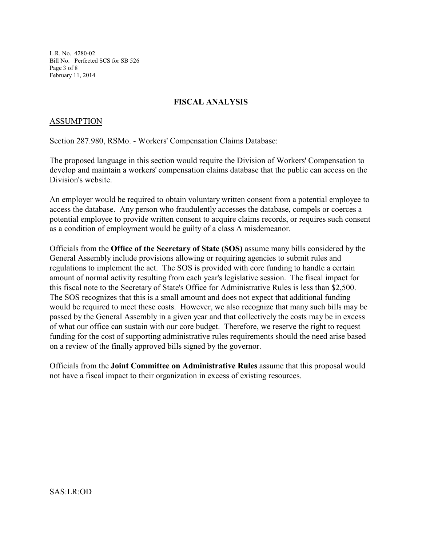L.R. No. 4280-02 Bill No. Perfected SCS for SB 526 Page 3 of 8 February 11, 2014

# **FISCAL ANALYSIS**

### ASSUMPTION

#### Section 287.980, RSMo. - Workers' Compensation Claims Database:

The proposed language in this section would require the Division of Workers' Compensation to develop and maintain a workers' compensation claims database that the public can access on the Division's website.

An employer would be required to obtain voluntary written consent from a potential employee to access the database. Any person who fraudulently accesses the database, compels or coerces a potential employee to provide written consent to acquire claims records, or requires such consent as a condition of employment would be guilty of a class A misdemeanor.

Officials from the **Office of the Secretary of State (SOS)** assume many bills considered by the General Assembly include provisions allowing or requiring agencies to submit rules and regulations to implement the act. The SOS is provided with core funding to handle a certain amount of normal activity resulting from each year's legislative session. The fiscal impact for this fiscal note to the Secretary of State's Office for Administrative Rules is less than \$2,500. The SOS recognizes that this is a small amount and does not expect that additional funding would be required to meet these costs. However, we also recognize that many such bills may be passed by the General Assembly in a given year and that collectively the costs may be in excess of what our office can sustain with our core budget. Therefore, we reserve the right to request funding for the cost of supporting administrative rules requirements should the need arise based on a review of the finally approved bills signed by the governor.

Officials from the **Joint Committee on Administrative Rules** assume that this proposal would not have a fiscal impact to their organization in excess of existing resources.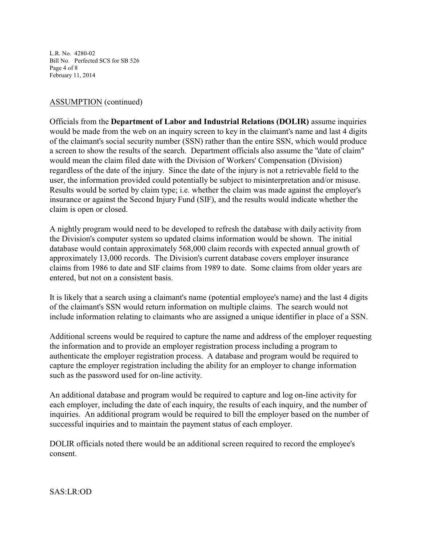L.R. No. 4280-02 Bill No. Perfected SCS for SB 526 Page 4 of 8 February 11, 2014

## ASSUMPTION (continued)

Officials from the **Department of Labor and Industrial Relations (DOLIR)** assume inquiries would be made from the web on an inquiry screen to key in the claimant's name and last 4 digits of the claimant's social security number (SSN) rather than the entire SSN, which would produce a screen to show the results of the search. Department officials also assume the "date of claim" would mean the claim filed date with the Division of Workers' Compensation (Division) regardless of the date of the injury. Since the date of the injury is not a retrievable field to the user, the information provided could potentially be subject to misinterpretation and/or misuse. Results would be sorted by claim type; i.e. whether the claim was made against the employer's insurance or against the Second Injury Fund (SIF), and the results would indicate whether the claim is open or closed.

A nightly program would need to be developed to refresh the database with daily activity from the Division's computer system so updated claims information would be shown. The initial database would contain approximately 568,000 claim records with expected annual growth of approximately 13,000 records. The Division's current database covers employer insurance claims from 1986 to date and SIF claims from 1989 to date. Some claims from older years are entered, but not on a consistent basis.

It is likely that a search using a claimant's name (potential employee's name) and the last 4 digits of the claimant's SSN would return information on multiple claims. The search would not include information relating to claimants who are assigned a unique identifier in place of a SSN.

Additional screens would be required to capture the name and address of the employer requesting the information and to provide an employer registration process including a program to authenticate the employer registration process. A database and program would be required to capture the employer registration including the ability for an employer to change information such as the password used for on-line activity.

An additional database and program would be required to capture and log on-line activity for each employer, including the date of each inquiry, the results of each inquiry, and the number of inquiries. An additional program would be required to bill the employer based on the number of successful inquiries and to maintain the payment status of each employer.

DOLIR officials noted there would be an additional screen required to record the employee's consent.

SAS:LR:OD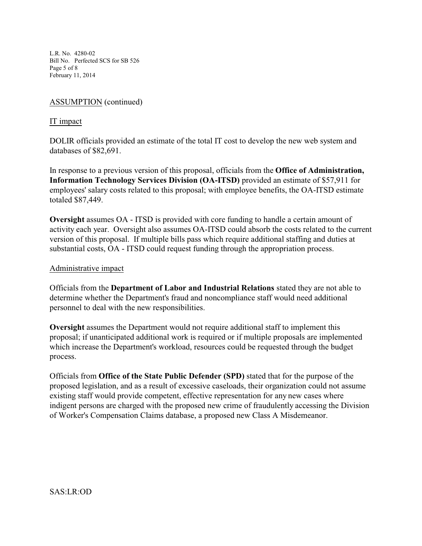L.R. No. 4280-02 Bill No. Perfected SCS for SB 526 Page 5 of 8 February 11, 2014

# ASSUMPTION (continued)

### IT impact

DOLIR officials provided an estimate of the total IT cost to develop the new web system and databases of \$82,691.

In response to a previous version of this proposal, officials from the **Office of Administration, Information Technology Services Division (OA-ITSD)** provided an estimate of \$57,911 for employees' salary costs related to this proposal; with employee benefits, the OA-ITSD estimate totaled \$87,449.

**Oversight** assumes OA - ITSD is provided with core funding to handle a certain amount of activity each year. Oversight also assumes OA-ITSD could absorb the costs related to the current version of this proposal. If multiple bills pass which require additional staffing and duties at substantial costs, OA - ITSD could request funding through the appropriation process.

### Administrative impact

Officials from the **Department of Labor and Industrial Relations** stated they are not able to determine whether the Department's fraud and noncompliance staff would need additional personnel to deal with the new responsibilities.

**Oversight** assumes the Department would not require additional staff to implement this proposal; if unanticipated additional work is required or if multiple proposals are implemented which increase the Department's workload, resources could be requested through the budget process.

Officials from **Office of the State Public Defender (SPD)** stated that for the purpose of the proposed legislation, and as a result of excessive caseloads, their organization could not assume existing staff would provide competent, effective representation for any new cases where indigent persons are charged with the proposed new crime of fraudulently accessing the Division of Worker's Compensation Claims database, a proposed new Class A Misdemeanor.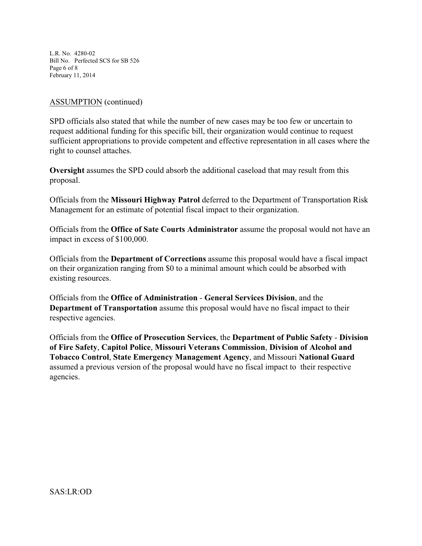L.R. No. 4280-02 Bill No. Perfected SCS for SB 526 Page 6 of 8 February 11, 2014

## ASSUMPTION (continued)

SPD officials also stated that while the number of new cases may be too few or uncertain to request additional funding for this specific bill, their organization would continue to request sufficient appropriations to provide competent and effective representation in all cases where the right to counsel attaches.

**Oversight** assumes the SPD could absorb the additional caseload that may result from this proposal.

Officials from the **Missouri Highway Patrol** deferred to the Department of Transportation Risk Management for an estimate of potential fiscal impact to their organization.

Officials from the **Office of Sate Courts Administrator** assume the proposal would not have an impact in excess of \$100,000.

Officials from the **Department of Corrections** assume this proposal would have a fiscal impact on their organization ranging from \$0 to a minimal amount which could be absorbed with existing resources.

Officials from the **Office of Administration** - **General Services Division**, and the **Department of Transportation** assume this proposal would have no fiscal impact to their respective agencies.

Officials from the **Office of Prosecution Services**, the **Department of Public Safety** - **Division of Fire Safety**, **Capitol Police**, **Missouri Veterans Commission**, **Division of Alcohol and Tobacco Control**, **State Emergency Management Agency**, and Missouri **National Guard** assumed a previous version of the proposal would have no fiscal impact to their respective agencies.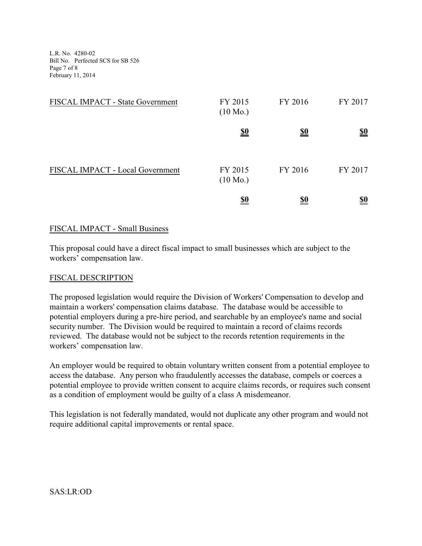L.R. No. 4280-02 Bill No. Perfected SCS for SB 526 Page 7 of 8 February 11, 2014

| FISCAL IMPACT - State Government | FY 2015<br>$(10 \text{ Mo.})$ | FY 2016    | FY 2017    |
|----------------------------------|-------------------------------|------------|------------|
|                                  | <u>\$0</u>                    | <u>\$0</u> | <u>\$0</u> |
| FISCAL IMPACT - Local Government | FY 2015<br>$(10 \text{ Mo.})$ | FY 2016    | FY 2017    |
|                                  | <u>\$0</u>                    | <u>\$0</u> | <u>\$0</u> |

### FISCAL IMPACT - Small Business

This proposal could have a direct fiscal impact to small businesses which are subject to the workers' compensation law.

### FISCAL DESCRIPTION

The proposed legislation would require the Division of Workers' Compensation to develop and maintain a workers' compensation claims database. The database would be accessible to potential employers during a pre-hire period, and searchable by an employee's name and social security number. The Division would be required to maintain a record of claims records reviewed. The database would not be subject to the records retention requirements in the workers' compensation law.

An employer would be required to obtain voluntary written consent from a potential employee to access the database. Any person who fraudulently accesses the database, compels or coerces a potential employee to provide written consent to acquire claims records, or requires such consent as a condition of employment would be guilty of a class A misdemeanor.

This legislation is not federally mandated, would not duplicate any other program and would not require additional capital improvements or rental space.